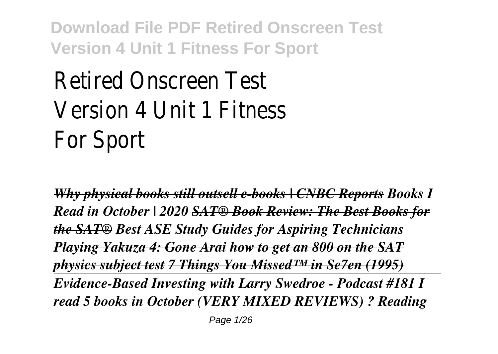# Retired Onscreen Test Version 4 Unit 1 Fitness For Sport

*Why physical books still outsell e-books | CNBC Reports Books I Read in October | 2020 SAT® Book Review: The Best Books for the SAT® Best ASE Study Guides for Aspiring Technicians Playing Yakuza 4: Gone Arai how to get an 800 on the SAT physics subject test 7 Things You Missed™ in Se7en (1995) Evidence-Based Investing with Larry Swedroe - Podcast #181 I read 5 books in October (VERY MIXED REVIEWS) ? Reading*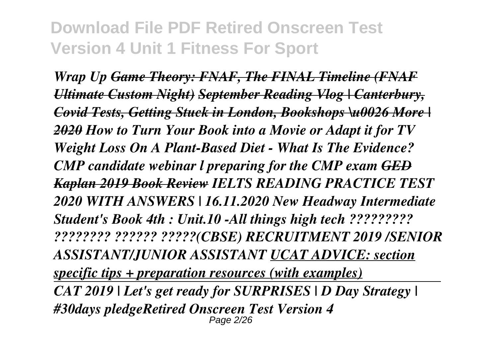*Wrap Up Game Theory: FNAF, The FINAL Timeline (FNAF Ultimate Custom Night) September Reading Vlog | Canterbury, Covid Tests, Getting Stuck in London, Bookshops \u0026 More | 2020 How to Turn Your Book into a Movie or Adapt it for TV Weight Loss On A Plant-Based Diet - What Is The Evidence? CMP candidate webinar l preparing for the CMP exam GED Kaplan 2019 Book Review IELTS READING PRACTICE TEST 2020 WITH ANSWERS | 16.11.2020 New Headway Intermediate Student's Book 4th : Unit.10 -All things high tech ????????? ???????? ?????? ?????(CBSE) RECRUITMENT 2019 /SENIOR ASSISTANT/JUNIOR ASSISTANT UCAT ADVICE: section specific tips + preparation resources (with examples) CAT 2019 | Let's get ready for SURPRISES | D Day Strategy | #30days pledgeRetired Onscreen Test Version 4* Page 2/26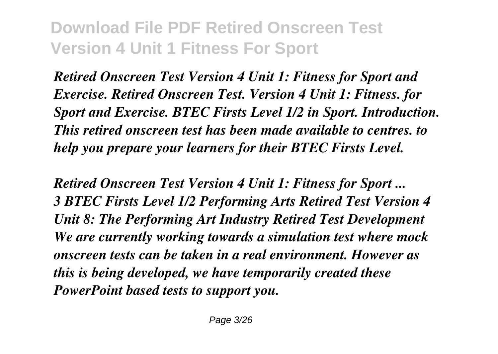*Retired Onscreen Test Version 4 Unit 1: Fitness for Sport and Exercise. Retired Onscreen Test. Version 4 Unit 1: Fitness. for Sport and Exercise. BTEC Firsts Level 1/2 in Sport. Introduction. This retired onscreen test has been made available to centres. to help you prepare your learners for their BTEC Firsts Level.*

*Retired Onscreen Test Version 4 Unit 1: Fitness for Sport ... 3 BTEC Firsts Level 1/2 Performing Arts Retired Test Version 4 Unit 8: The Performing Art Industry Retired Test Development We are currently working towards a simulation test where mock onscreen tests can be taken in a real environment. However as this is being developed, we have temporarily created these PowerPoint based tests to support you.*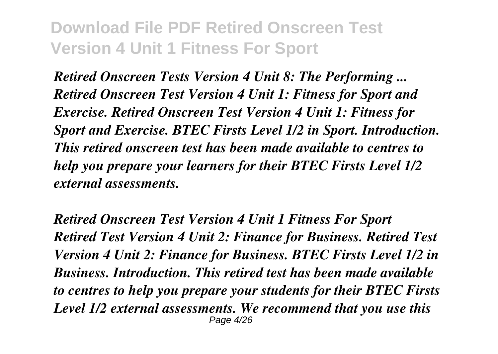*Retired Onscreen Tests Version 4 Unit 8: The Performing ... Retired Onscreen Test Version 4 Unit 1: Fitness for Sport and Exercise. Retired Onscreen Test Version 4 Unit 1: Fitness for Sport and Exercise. BTEC Firsts Level 1/2 in Sport. Introduction. This retired onscreen test has been made available to centres to help you prepare your learners for their BTEC Firsts Level 1/2 external assessments.*

*Retired Onscreen Test Version 4 Unit 1 Fitness For Sport Retired Test Version 4 Unit 2: Finance for Business. Retired Test Version 4 Unit 2: Finance for Business. BTEC Firsts Level 1/2 in Business. Introduction. This retired test has been made available to centres to help you prepare your students for their BTEC Firsts Level 1/2 external assessments. We recommend that you use this* Page 4/26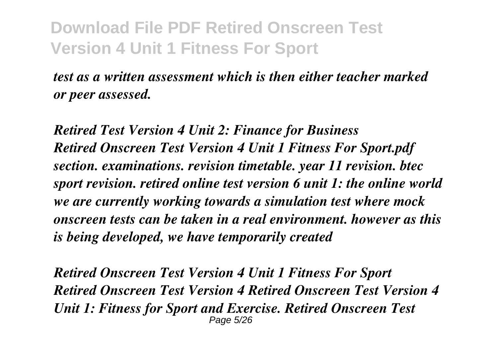*test as a written assessment which is then either teacher marked or peer assessed.*

*Retired Test Version 4 Unit 2: Finance for Business Retired Onscreen Test Version 4 Unit 1 Fitness For Sport.pdf section. examinations. revision timetable. year 11 revision. btec sport revision. retired online test version 6 unit 1: the online world we are currently working towards a simulation test where mock onscreen tests can be taken in a real environment. however as this is being developed, we have temporarily created*

*Retired Onscreen Test Version 4 Unit 1 Fitness For Sport Retired Onscreen Test Version 4 Retired Onscreen Test Version 4 Unit 1: Fitness for Sport and Exercise. Retired Onscreen Test* Page 5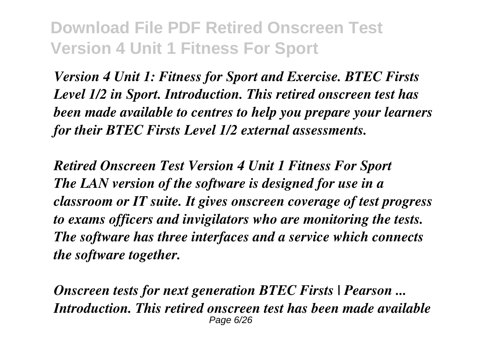*Version 4 Unit 1: Fitness for Sport and Exercise. BTEC Firsts Level 1/2 in Sport. Introduction. This retired onscreen test has been made available to centres to help you prepare your learners for their BTEC Firsts Level 1/2 external assessments.*

*Retired Onscreen Test Version 4 Unit 1 Fitness For Sport The LAN version of the software is designed for use in a classroom or IT suite. It gives onscreen coverage of test progress to exams officers and invigilators who are monitoring the tests. The software has three interfaces and a service which connects the software together.*

*Onscreen tests for next generation BTEC Firsts | Pearson ... Introduction. This retired onscreen test has been made available* Page 6/26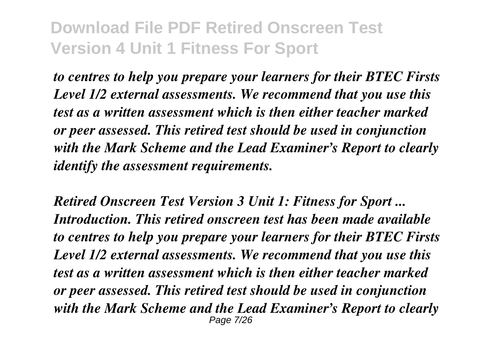*to centres to help you prepare your learners for their BTEC Firsts Level 1/2 external assessments. We recommend that you use this test as a written assessment which is then either teacher marked or peer assessed. This retired test should be used in conjunction with the Mark Scheme and the Lead Examiner's Report to clearly identify the assessment requirements.*

*Retired Onscreen Test Version 3 Unit 1: Fitness for Sport ... Introduction. This retired onscreen test has been made available to centres to help you prepare your learners for their BTEC Firsts Level 1/2 external assessments. We recommend that you use this test as a written assessment which is then either teacher marked or peer assessed. This retired test should be used in conjunction with the Mark Scheme and the Lead Examiner's Report to clearly* Page 7/26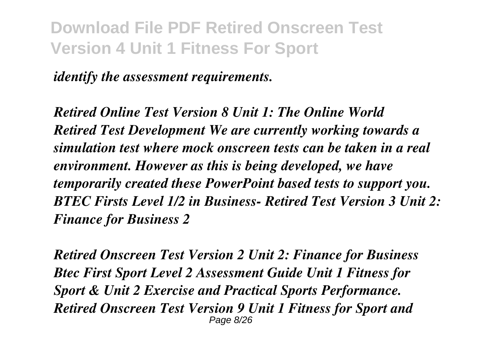*identify the assessment requirements.*

*Retired Online Test Version 8 Unit 1: The Online World Retired Test Development We are currently working towards a simulation test where mock onscreen tests can be taken in a real environment. However as this is being developed, we have temporarily created these PowerPoint based tests to support you. BTEC Firsts Level 1/2 in Business- Retired Test Version 3 Unit 2: Finance for Business 2*

*Retired Onscreen Test Version 2 Unit 2: Finance for Business Btec First Sport Level 2 Assessment Guide Unit 1 Fitness for Sport & Unit 2 Exercise and Practical Sports Performance. Retired Onscreen Test Version 9 Unit 1 Fitness for Sport and* Page 8/26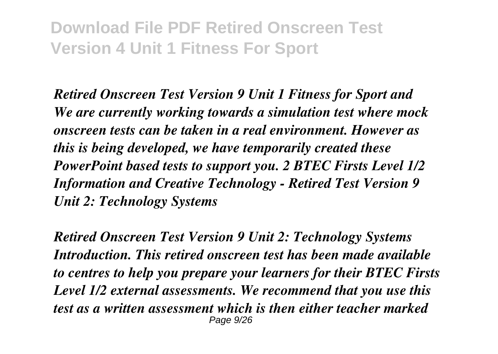*Retired Onscreen Test Version 9 Unit 1 Fitness for Sport and We are currently working towards a simulation test where mock onscreen tests can be taken in a real environment. However as this is being developed, we have temporarily created these PowerPoint based tests to support you. 2 BTEC Firsts Level 1/2 Information and Creative Technology - Retired Test Version 9 Unit 2: Technology Systems*

*Retired Onscreen Test Version 9 Unit 2: Technology Systems Introduction. This retired onscreen test has been made available to centres to help you prepare your learners for their BTEC Firsts Level 1/2 external assessments. We recommend that you use this test as a written assessment which is then either teacher marked* Page 9/26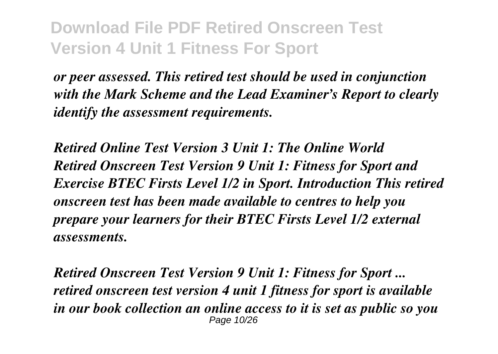*or peer assessed. This retired test should be used in conjunction with the Mark Scheme and the Lead Examiner's Report to clearly identify the assessment requirements.*

*Retired Online Test Version 3 Unit 1: The Online World Retired Onscreen Test Version 9 Unit 1: Fitness for Sport and Exercise BTEC Firsts Level 1/2 in Sport. Introduction This retired onscreen test has been made available to centres to help you prepare your learners for their BTEC Firsts Level 1/2 external assessments.*

*Retired Onscreen Test Version 9 Unit 1: Fitness for Sport ... retired onscreen test version 4 unit 1 fitness for sport is available in our book collection an online access to it is set as public so you* Page 10/26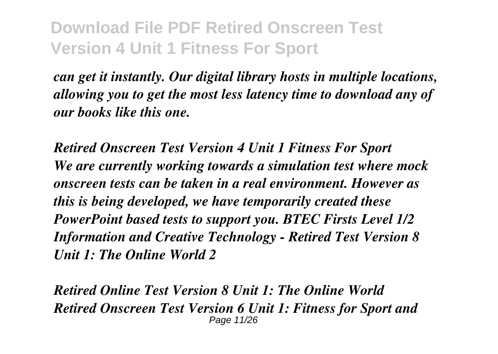*can get it instantly. Our digital library hosts in multiple locations, allowing you to get the most less latency time to download any of our books like this one.*

*Retired Onscreen Test Version 4 Unit 1 Fitness For Sport We are currently working towards a simulation test where mock onscreen tests can be taken in a real environment. However as this is being developed, we have temporarily created these PowerPoint based tests to support you. BTEC Firsts Level 1/2 Information and Creative Technology - Retired Test Version 8 Unit 1: The Online World 2*

*Retired Online Test Version 8 Unit 1: The Online World Retired Onscreen Test Version 6 Unit 1: Fitness for Sport and* Page 11/26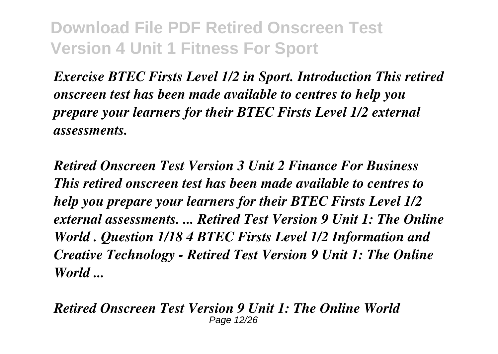*Exercise BTEC Firsts Level 1/2 in Sport. Introduction This retired onscreen test has been made available to centres to help you prepare your learners for their BTEC Firsts Level 1/2 external assessments.*

*Retired Onscreen Test Version 3 Unit 2 Finance For Business This retired onscreen test has been made available to centres to help you prepare your learners for their BTEC Firsts Level 1/2 external assessments. ... Retired Test Version 9 Unit 1: The Online World . Question 1/18 4 BTEC Firsts Level 1/2 Information and Creative Technology - Retired Test Version 9 Unit 1: The Online World ...*

*Retired Onscreen Test Version 9 Unit 1: The Online World* Page 12/26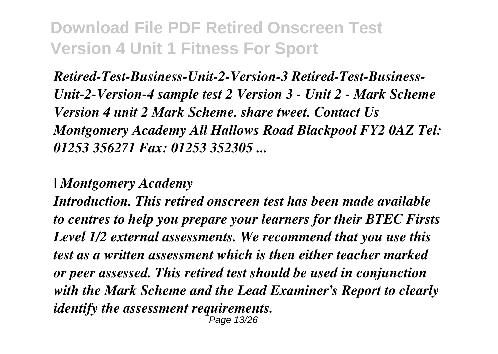*Retired-Test-Business-Unit-2-Version-3 Retired-Test-Business-Unit-2-Version-4 sample test 2 Version 3 - Unit 2 - Mark Scheme Version 4 unit 2 Mark Scheme. share tweet. Contact Us Montgomery Academy All Hallows Road Blackpool FY2 0AZ Tel: 01253 356271 Fax: 01253 352305 ...*

*| Montgomery Academy*

*Introduction. This retired onscreen test has been made available to centres to help you prepare your learners for their BTEC Firsts Level 1/2 external assessments. We recommend that you use this test as a written assessment which is then either teacher marked or peer assessed. This retired test should be used in conjunction with the Mark Scheme and the Lead Examiner's Report to clearly identify the assessment requirements.* า*ด*e 13/26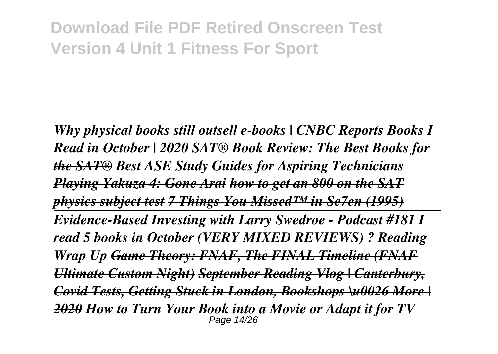*Why physical books still outsell e-books | CNBC Reports Books I Read in October | 2020 SAT® Book Review: The Best Books for the SAT® Best ASE Study Guides for Aspiring Technicians Playing Yakuza 4: Gone Arai how to get an 800 on the SAT physics subject test 7 Things You Missed™ in Se7en (1995) Evidence-Based Investing with Larry Swedroe - Podcast #181 I read 5 books in October (VERY MIXED REVIEWS) ? Reading Wrap Up Game Theory: FNAF, The FINAL Timeline (FNAF Ultimate Custom Night) September Reading Vlog | Canterbury, Covid Tests, Getting Stuck in London, Bookshops \u0026 More | 2020 How to Turn Your Book into a Movie or Adapt it for TV* Page 14/26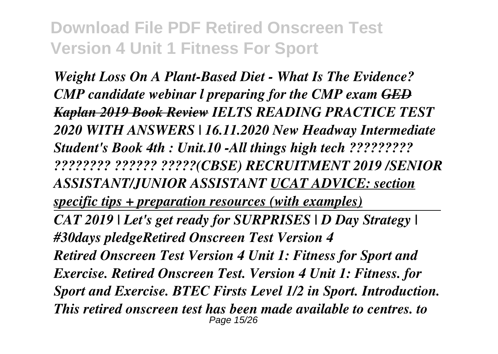*Weight Loss On A Plant-Based Diet - What Is The Evidence? CMP candidate webinar l preparing for the CMP exam GED Kaplan 2019 Book Review IELTS READING PRACTICE TEST 2020 WITH ANSWERS | 16.11.2020 New Headway Intermediate Student's Book 4th : Unit.10 -All things high tech ????????? ???????? ?????? ?????(CBSE) RECRUITMENT 2019 /SENIOR ASSISTANT/JUNIOR ASSISTANT UCAT ADVICE: section specific tips + preparation resources (with examples) CAT 2019 | Let's get ready for SURPRISES | D Day Strategy | #30days pledgeRetired Onscreen Test Version 4 Retired Onscreen Test Version 4 Unit 1: Fitness for Sport and Exercise. Retired Onscreen Test. Version 4 Unit 1: Fitness. for Sport and Exercise. BTEC Firsts Level 1/2 in Sport. Introduction. This retired onscreen test has been made available to centres. to* Page 15/26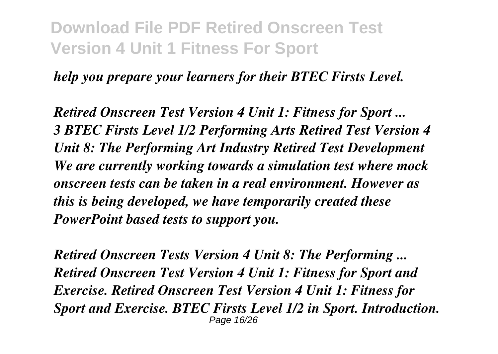#### *help you prepare your learners for their BTEC Firsts Level.*

*Retired Onscreen Test Version 4 Unit 1: Fitness for Sport ... 3 BTEC Firsts Level 1/2 Performing Arts Retired Test Version 4 Unit 8: The Performing Art Industry Retired Test Development We are currently working towards a simulation test where mock onscreen tests can be taken in a real environment. However as this is being developed, we have temporarily created these PowerPoint based tests to support you.*

*Retired Onscreen Tests Version 4 Unit 8: The Performing ... Retired Onscreen Test Version 4 Unit 1: Fitness for Sport and Exercise. Retired Onscreen Test Version 4 Unit 1: Fitness for Sport and Exercise. BTEC Firsts Level 1/2 in Sport. Introduction.* Page 16/26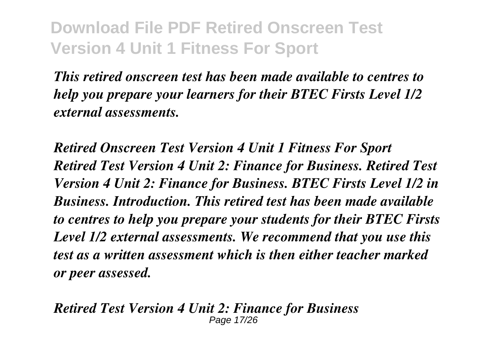*This retired onscreen test has been made available to centres to help you prepare your learners for their BTEC Firsts Level 1/2 external assessments.*

*Retired Onscreen Test Version 4 Unit 1 Fitness For Sport Retired Test Version 4 Unit 2: Finance for Business. Retired Test Version 4 Unit 2: Finance for Business. BTEC Firsts Level 1/2 in Business. Introduction. This retired test has been made available to centres to help you prepare your students for their BTEC Firsts Level 1/2 external assessments. We recommend that you use this test as a written assessment which is then either teacher marked or peer assessed.*

*Retired Test Version 4 Unit 2: Finance for Business* Page 17/26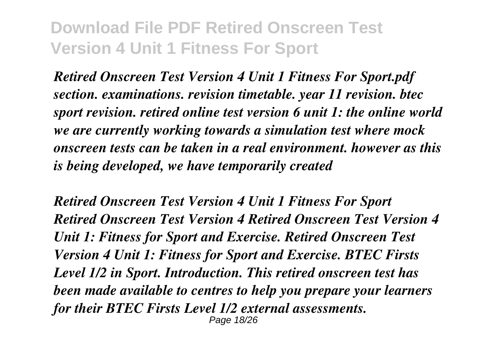*Retired Onscreen Test Version 4 Unit 1 Fitness For Sport.pdf section. examinations. revision timetable. year 11 revision. btec sport revision. retired online test version 6 unit 1: the online world we are currently working towards a simulation test where mock onscreen tests can be taken in a real environment. however as this is being developed, we have temporarily created*

*Retired Onscreen Test Version 4 Unit 1 Fitness For Sport Retired Onscreen Test Version 4 Retired Onscreen Test Version 4 Unit 1: Fitness for Sport and Exercise. Retired Onscreen Test Version 4 Unit 1: Fitness for Sport and Exercise. BTEC Firsts Level 1/2 in Sport. Introduction. This retired onscreen test has been made available to centres to help you prepare your learners for their BTEC Firsts Level 1/2 external assessments.* Page 18/26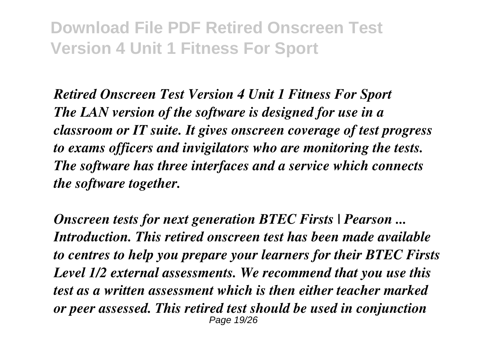*Retired Onscreen Test Version 4 Unit 1 Fitness For Sport The LAN version of the software is designed for use in a classroom or IT suite. It gives onscreen coverage of test progress to exams officers and invigilators who are monitoring the tests. The software has three interfaces and a service which connects the software together.*

*Onscreen tests for next generation BTEC Firsts | Pearson ... Introduction. This retired onscreen test has been made available to centres to help you prepare your learners for their BTEC Firsts Level 1/2 external assessments. We recommend that you use this test as a written assessment which is then either teacher marked or peer assessed. This retired test should be used in conjunction* Page 19/26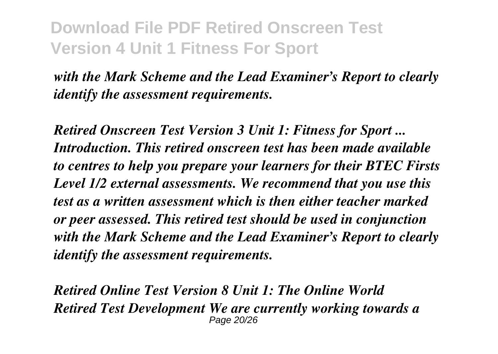*with the Mark Scheme and the Lead Examiner's Report to clearly identify the assessment requirements.*

*Retired Onscreen Test Version 3 Unit 1: Fitness for Sport ... Introduction. This retired onscreen test has been made available to centres to help you prepare your learners for their BTEC Firsts Level 1/2 external assessments. We recommend that you use this test as a written assessment which is then either teacher marked or peer assessed. This retired test should be used in conjunction with the Mark Scheme and the Lead Examiner's Report to clearly identify the assessment requirements.*

*Retired Online Test Version 8 Unit 1: The Online World Retired Test Development We are currently working towards a* Page 20/26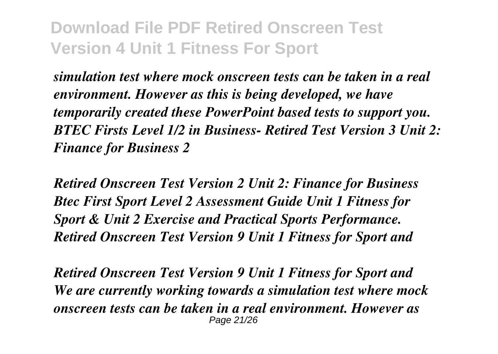*simulation test where mock onscreen tests can be taken in a real environment. However as this is being developed, we have temporarily created these PowerPoint based tests to support you. BTEC Firsts Level 1/2 in Business- Retired Test Version 3 Unit 2: Finance for Business 2*

*Retired Onscreen Test Version 2 Unit 2: Finance for Business Btec First Sport Level 2 Assessment Guide Unit 1 Fitness for Sport & Unit 2 Exercise and Practical Sports Performance. Retired Onscreen Test Version 9 Unit 1 Fitness for Sport and*

*Retired Onscreen Test Version 9 Unit 1 Fitness for Sport and We are currently working towards a simulation test where mock onscreen tests can be taken in a real environment. However as* Page 21/26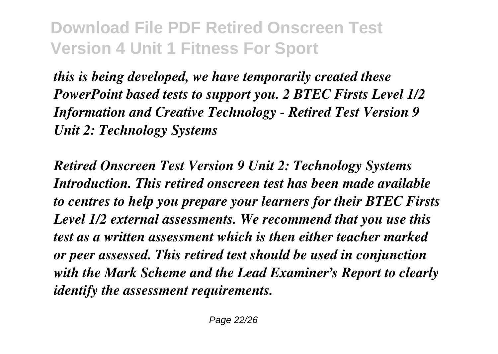*this is being developed, we have temporarily created these PowerPoint based tests to support you. 2 BTEC Firsts Level 1/2 Information and Creative Technology - Retired Test Version 9 Unit 2: Technology Systems*

*Retired Onscreen Test Version 9 Unit 2: Technology Systems Introduction. This retired onscreen test has been made available to centres to help you prepare your learners for their BTEC Firsts Level 1/2 external assessments. We recommend that you use this test as a written assessment which is then either teacher marked or peer assessed. This retired test should be used in conjunction with the Mark Scheme and the Lead Examiner's Report to clearly identify the assessment requirements.*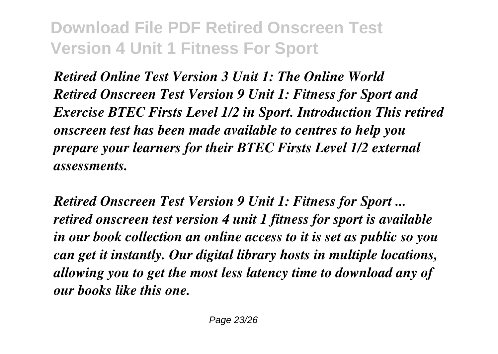*Retired Online Test Version 3 Unit 1: The Online World Retired Onscreen Test Version 9 Unit 1: Fitness for Sport and Exercise BTEC Firsts Level 1/2 in Sport. Introduction This retired onscreen test has been made available to centres to help you prepare your learners for their BTEC Firsts Level 1/2 external assessments.*

*Retired Onscreen Test Version 9 Unit 1: Fitness for Sport ... retired onscreen test version 4 unit 1 fitness for sport is available in our book collection an online access to it is set as public so you can get it instantly. Our digital library hosts in multiple locations, allowing you to get the most less latency time to download any of our books like this one.*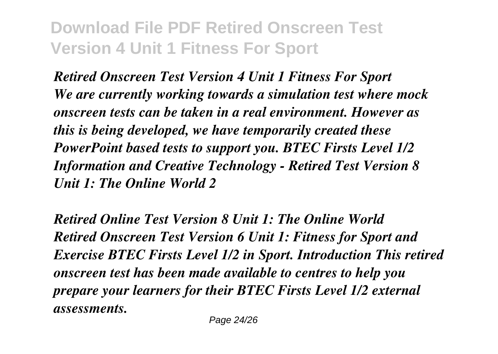*Retired Onscreen Test Version 4 Unit 1 Fitness For Sport We are currently working towards a simulation test where mock onscreen tests can be taken in a real environment. However as this is being developed, we have temporarily created these PowerPoint based tests to support you. BTEC Firsts Level 1/2 Information and Creative Technology - Retired Test Version 8 Unit 1: The Online World 2*

*Retired Online Test Version 8 Unit 1: The Online World Retired Onscreen Test Version 6 Unit 1: Fitness for Sport and Exercise BTEC Firsts Level 1/2 in Sport. Introduction This retired onscreen test has been made available to centres to help you prepare your learners for their BTEC Firsts Level 1/2 external assessments.*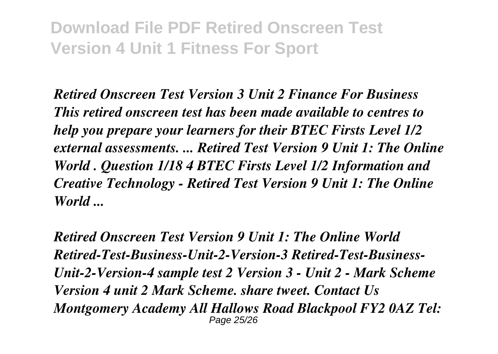*Retired Onscreen Test Version 3 Unit 2 Finance For Business This retired onscreen test has been made available to centres to help you prepare your learners for their BTEC Firsts Level 1/2 external assessments. ... Retired Test Version 9 Unit 1: The Online World . Question 1/18 4 BTEC Firsts Level 1/2 Information and Creative Technology - Retired Test Version 9 Unit 1: The Online World ...*

*Retired Onscreen Test Version 9 Unit 1: The Online World Retired-Test-Business-Unit-2-Version-3 Retired-Test-Business-Unit-2-Version-4 sample test 2 Version 3 - Unit 2 - Mark Scheme Version 4 unit 2 Mark Scheme. share tweet. Contact Us Montgomery Academy All Hallows Road Blackpool FY2 0AZ Tel:* Page 25/26